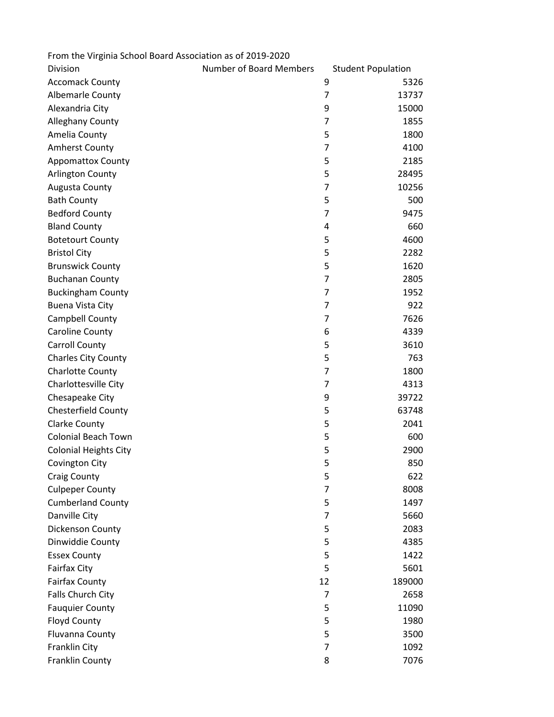| From the Virginia School Board Association as of 2019-2020 |                                |                           |  |
|------------------------------------------------------------|--------------------------------|---------------------------|--|
| Division                                                   | <b>Number of Board Members</b> | <b>Student Population</b> |  |
| <b>Accomack County</b>                                     |                                | 9<br>5326                 |  |
| <b>Albemarle County</b>                                    |                                | 7<br>13737                |  |
| Alexandria City                                            |                                | 9<br>15000                |  |
| <b>Alleghany County</b>                                    |                                | 7<br>1855                 |  |
| Amelia County                                              |                                | 5<br>1800                 |  |
| <b>Amherst County</b>                                      |                                | 7<br>4100                 |  |
| <b>Appomattox County</b>                                   |                                | 5<br>2185                 |  |
| <b>Arlington County</b>                                    |                                | 5<br>28495                |  |
| Augusta County                                             |                                | 7<br>10256                |  |
| <b>Bath County</b>                                         |                                | 5<br>500                  |  |
| <b>Bedford County</b>                                      |                                | 7<br>9475                 |  |
| <b>Bland County</b>                                        |                                | 660<br>4                  |  |
| <b>Botetourt County</b>                                    |                                | 5<br>4600                 |  |
| <b>Bristol City</b>                                        |                                | 5<br>2282                 |  |
| <b>Brunswick County</b>                                    |                                | 5<br>1620                 |  |
| <b>Buchanan County</b>                                     |                                | $\overline{7}$<br>2805    |  |
| <b>Buckingham County</b>                                   |                                | $\overline{7}$<br>1952    |  |
| Buena Vista City                                           |                                | 7<br>922                  |  |
| Campbell County                                            |                                | 7626<br>7                 |  |
| Caroline County                                            |                                | 6<br>4339                 |  |
| <b>Carroll County</b>                                      |                                | 5<br>3610                 |  |
| <b>Charles City County</b>                                 |                                | 5<br>763                  |  |
| Charlotte County                                           |                                | 7<br>1800                 |  |
| Charlottesville City                                       |                                | 7<br>4313                 |  |
| Chesapeake City                                            |                                | 9<br>39722                |  |
| <b>Chesterfield County</b>                                 |                                | 5<br>63748                |  |
| <b>Clarke County</b>                                       |                                | 5<br>2041                 |  |
| <b>Colonial Beach Town</b>                                 |                                | 5<br>600                  |  |
| <b>Colonial Heights City</b>                               |                                | 5<br>2900                 |  |
| Covington City                                             |                                | 5<br>850                  |  |
| <b>Craig County</b>                                        |                                | 5<br>622                  |  |
| <b>Culpeper County</b>                                     |                                | $\overline{7}$<br>8008    |  |
| <b>Cumberland County</b>                                   |                                | 5<br>1497                 |  |
| Danville City                                              |                                | $\overline{7}$<br>5660    |  |
| Dickenson County                                           |                                | 5<br>2083                 |  |
| Dinwiddie County                                           |                                | 5<br>4385                 |  |
| <b>Essex County</b>                                        |                                | 5<br>1422                 |  |
| <b>Fairfax City</b>                                        |                                | 5<br>5601                 |  |
| <b>Fairfax County</b>                                      |                                | 12<br>189000              |  |
| Falls Church City                                          |                                | 2658<br>7                 |  |
| <b>Fauquier County</b>                                     |                                | 5<br>11090                |  |
| <b>Floyd County</b>                                        |                                | 5<br>1980                 |  |
| Fluvanna County                                            |                                | 5<br>3500                 |  |
| Franklin City                                              |                                | $\overline{7}$<br>1092    |  |
| Franklin County                                            |                                | 8<br>7076                 |  |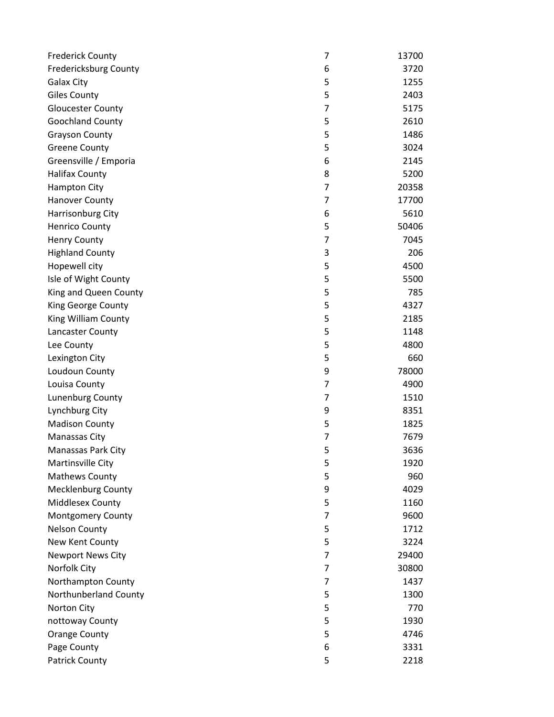| <b>Frederick County</b>   | 7              | 13700 |
|---------------------------|----------------|-------|
| Fredericksburg County     | 6              | 3720  |
| <b>Galax City</b>         | 5              | 1255  |
| <b>Giles County</b>       | 5              | 2403  |
| <b>Gloucester County</b>  | $\overline{7}$ | 5175  |
| Goochland County          | 5              | 2610  |
| <b>Grayson County</b>     | 5              | 1486  |
| <b>Greene County</b>      | 5              | 3024  |
| Greensville / Emporia     | 6              | 2145  |
| <b>Halifax County</b>     | 8              | 5200  |
| <b>Hampton City</b>       | 7              | 20358 |
| Hanover County            | $\overline{7}$ | 17700 |
| Harrisonburg City         | 6              | 5610  |
| <b>Henrico County</b>     | 5              | 50406 |
| <b>Henry County</b>       | 7              | 7045  |
| <b>Highland County</b>    | 3              | 206   |
| Hopewell city             | 5              | 4500  |
| Isle of Wight County      | 5              | 5500  |
| King and Queen County     | 5              | 785   |
| King George County        | 5              | 4327  |
| King William County       | 5              | 2185  |
| Lancaster County          | 5              | 1148  |
| Lee County                | 5              | 4800  |
| Lexington City            | 5              | 660   |
| Loudoun County            | 9              | 78000 |
| Louisa County             | $\overline{7}$ | 4900  |
| Lunenburg County          | 7              | 1510  |
| Lynchburg City            | 9              | 8351  |
| <b>Madison County</b>     | 5              | 1825  |
| Manassas City             | 7              | 7679  |
| Manassas Park City        | 5              | 3636  |
| Martinsville City         | 5              | 1920  |
| <b>Mathews County</b>     | 5              | 960   |
| <b>Mecklenburg County</b> | 9              | 4029  |
| Middlesex County          | 5              | 1160  |
| <b>Montgomery County</b>  | $\overline{7}$ | 9600  |
| <b>Nelson County</b>      | 5              | 1712  |
| New Kent County           | 5              | 3224  |
| <b>Newport News City</b>  | $\overline{7}$ | 29400 |
| Norfolk City              | 7              | 30800 |
| Northampton County        | $\overline{7}$ | 1437  |
| Northunberland County     | 5              | 1300  |
| Norton City               | 5              | 770   |
| nottoway County           | 5              | 1930  |
| <b>Orange County</b>      | 5              | 4746  |
| Page County               | 6              | 3331  |
| <b>Patrick County</b>     | 5              | 2218  |